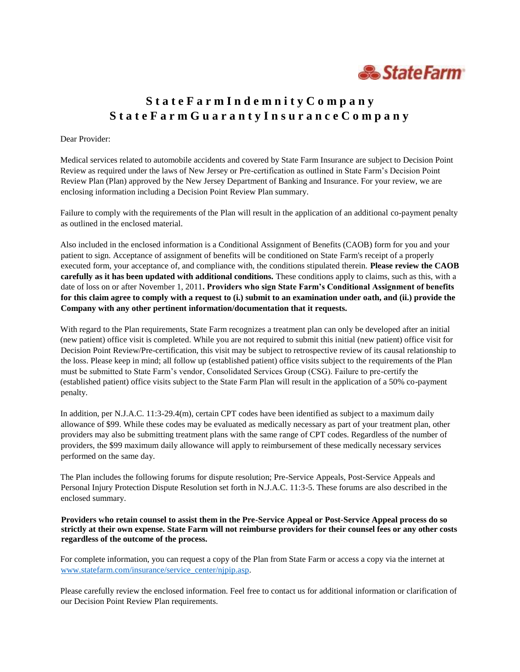

# **S t a t e F a r m I n d e m n i t y C o m p a n y S t a t e F a r m G u a r a n t y I n s u r a n c e C o m p a n y**

#### Dear Provider:

Medical services related to automobile accidents and covered by State Farm Insurance are subject to Decision Point Review as required under the laws of New Jersey or Pre-certification as outlined in State Farm's Decision Point Review Plan (Plan) approved by the New Jersey Department of Banking and Insurance. For your review, we are enclosing information including a Decision Point Review Plan summary.

Failure to comply with the requirements of the Plan will result in the application of an additional co-payment penalty as outlined in the enclosed material.

Also included in the enclosed information is a Conditional Assignment of Benefits (CAOB) form for you and your patient to sign. Acceptance of assignment of benefits will be conditioned on State Farm's receipt of a properly executed form, your acceptance of, and compliance with, the conditions stipulated therein. **Please review the CAOB carefully as it has been updated with additional conditions.** These conditions apply to claims, such as this, with a date of loss on or after November 1, 2011**. Providers who sign State Farm's Conditional Assignment of benefits for this claim agree to comply with a request to (i.) submit to an examination under oath, and (ii.) provide the Company with any other pertinent information/documentation that it requests.** 

With regard to the Plan requirements, State Farm recognizes a treatment plan can only be developed after an initial (new patient) office visit is completed. While you are not required to submit this initial (new patient) office visit for Decision Point Review/Pre-certification, this visit may be subject to retrospective review of its causal relationship to the loss. Please keep in mind; all follow up (established patient) office visits subject to the requirements of the Plan must be submitted to State Farm's vendor, Consolidated Services Group (CSG). Failure to pre-certify the (established patient) office visits subject to the State Farm Plan will result in the application of a 50% co-payment penalty.

In addition, per N.J.A.C. 11:3-29.4(m), certain CPT codes have been identified as subject to a maximum daily allowance of \$99. While these codes may be evaluated as medically necessary as part of your treatment plan, other providers may also be submitting treatment plans with the same range of CPT codes. Regardless of the number of providers, the \$99 maximum daily allowance will apply to reimbursement of these medically necessary services performed on the same day.

The Plan includes the following forums for dispute resolution; Pre-Service Appeals, Post-Service Appeals and Personal Injury Protection Dispute Resolution set forth in N.J.A.C. 11:3-5. These forums are also described in the enclosed summary.

**Providers who retain counsel to assist them in the Pre-Service Appeal or Post-Service Appeal process do so strictly at their own expense. State Farm will not reimburse providers for their counsel fees or any other costs regardless of the outcome of the process.** 

For complete information, you can request a copy of the Plan from State Farm or access a copy via the internet at [www.statefarm.com/insurance/service\\_center/njpip.asp.](http://www.statefarm.com/insurance/service_center/njpip.asp)

Please carefully review the enclosed information. Feel free to contact us for additional information or clarification of our Decision Point Review Plan requirements.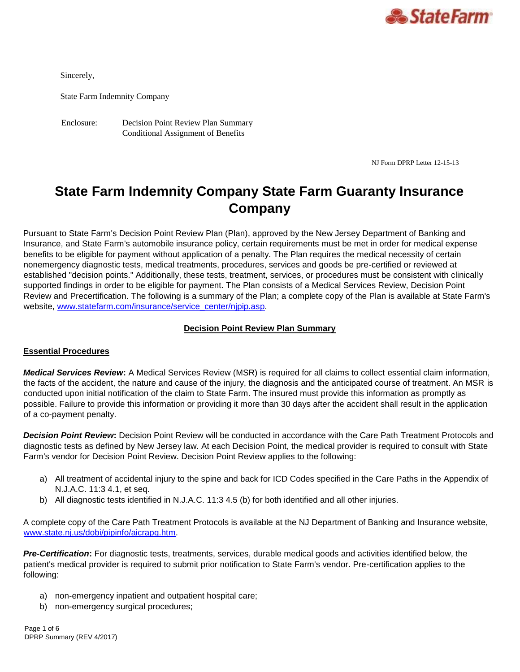

Sincerely,

State Farm Indemnity Company

Enclosure: Decision Point Review Plan Summary Conditional Assignment of Benefits

NJ Form DPRP Letter 12-15-13

# **State Farm Indemnity Company State Farm Guaranty Insurance Company**

Pursuant to State Farm's Decision Point Review Plan (Plan), approved by the New Jersey Department of Banking and Insurance, and State Farm's automobile insurance policy, certain requirements must be met in order for medical expense benefits to be eligible for payment without application of a penalty. The Plan requires the medical necessity of certain nonemergency diagnostic tests, medical treatments, procedures, services and goods be pre-certified or reviewed at established "decision points." Additionally, these tests, treatment, services, or procedures must be consistent with clinically supported findings in order to be eligible for payment. The Plan consists of a Medical Services Review, Decision Point Review and Precertification. The following is a summary of the Plan; a complete copy of the Plan is available at State Farm's website, [www.statefarm.com/insurance/service\\_center/njpip.asp.](http://www.statefarm.com/insurance/service_center/njpip.asp)

### **Decision Point Review Plan Summary**

# **Essential Procedures**

*Medical Services Review***:** A Medical Services Review (MSR) is required for all claims to collect essential claim information, the facts of the accident, the nature and cause of the injury, the diagnosis and the anticipated course of treatment. An MSR is conducted upon initial notification of the claim to State Farm. The insured must provide this information as promptly as possible. Failure to provide this information or providing it more than 30 days after the accident shall result in the application of a co-payment penalty.

*Decision Point Review***:** Decision Point Review will be conducted in accordance with the Care Path Treatment Protocols and diagnostic tests as defined by New Jersey law. At each Decision Point, the medical provider is required to consult with State Farm's vendor for Decision Point Review. Decision Point Review applies to the following:

- a) All treatment of accidental injury to the spine and back for ICD Codes specified in the Care Paths in the Appendix of N.J.A.C. 11:3 4.1, et seq.
- b) All diagnostic tests identified in N.J.A.C. 11:3 4.5 (b) for both identified and all other injuries.

A complete copy of the Care Path Treatment Protocols is available at the NJ Department of Banking and Insurance website, [www.state.nj.us/dobi/pipinfo/aicrapg.htm.](http://www.state.nj.us/dobi/pipinfo/aicrapg.htm)

*Pre-Certification***:** For diagnostic tests, treatments, services, durable medical goods and activities identified below, the patient's medical provider is required to submit prior notification to State Farm's vendor. Pre-certification applies to the following:

- a) non-emergency inpatient and outpatient hospital care;
- b) non-emergency surgical procedures;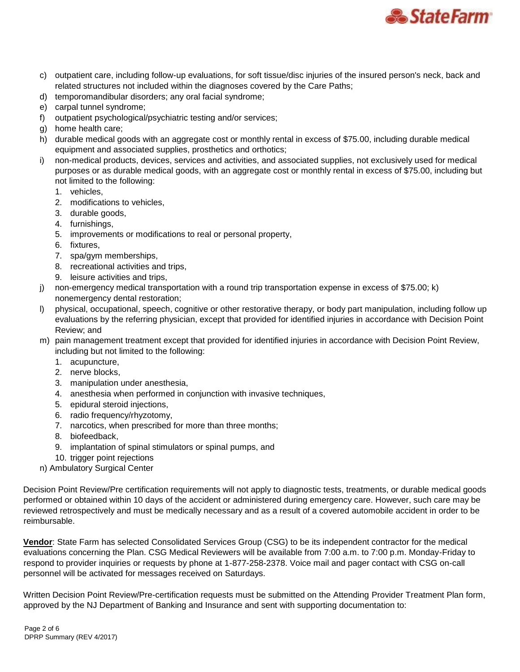

- c) outpatient care, including follow-up evaluations, for soft tissue/disc injuries of the insured person's neck, back and related structures not included within the diagnoses covered by the Care Paths;
- d) temporomandibular disorders; any oral facial syndrome;
- e) carpal tunnel syndrome;
- f) outpatient psychological/psychiatric testing and/or services;
- g) home health care;
- h) durable medical goods with an aggregate cost or monthly rental in excess of \$75.00, including durable medical equipment and associated supplies, prosthetics and orthotics;
- i) non-medical products, devices, services and activities, and associated supplies, not exclusively used for medical purposes or as durable medical goods, with an aggregate cost or monthly rental in excess of \$75.00, including but not limited to the following:
	- 1. vehicles,
	- 2. modifications to vehicles,
	- 3. durable goods,
	- 4. furnishings,
	- 5. improvements or modifications to real or personal property,
	- 6. fixtures,
	- 7. spa/gym memberships,
	- 8. recreational activities and trips,
	- 9. leisure activities and trips,
- j) non-emergency medical transportation with a round trip transportation expense in excess of \$75.00; k) nonemergency dental restoration;
- l) physical, occupational, speech, cognitive or other restorative therapy, or body part manipulation, including follow up evaluations by the referring physician, except that provided for identified injuries in accordance with Decision Point Review; and
- m) pain management treatment except that provided for identified injuries in accordance with Decision Point Review, including but not limited to the following:
	- 1. acupuncture,
	- 2. nerve blocks,
	- 3. manipulation under anesthesia,
	- 4. anesthesia when performed in conjunction with invasive techniques,
	- 5. epidural steroid injections,
	- 6. radio frequency/rhyzotomy,
	- 7. narcotics, when prescribed for more than three months;
	- 8. biofeedback,
	- 9. implantation of spinal stimulators or spinal pumps, and
	- 10. trigger point rejections

n) Ambulatory Surgical Center

Decision Point Review/Pre certification requirements will not apply to diagnostic tests, treatments, or durable medical goods performed or obtained within 10 days of the accident or administered during emergency care. However, such care may be reviewed retrospectively and must be medically necessary and as a result of a covered automobile accident in order to be reimbursable.

**Vendor**: State Farm has selected Consolidated Services Group (CSG) to be its independent contractor for the medical evaluations concerning the Plan. CSG Medical Reviewers will be available from 7:00 a.m. to 7:00 p.m. Monday-Friday to respond to provider inquiries or requests by phone at 1-877-258-2378. Voice mail and pager contact with CSG on-call personnel will be activated for messages received on Saturdays.

Written Decision Point Review/Pre-certification requests must be submitted on the Attending Provider Treatment Plan form, approved by the NJ Department of Banking and Insurance and sent with supporting documentation to: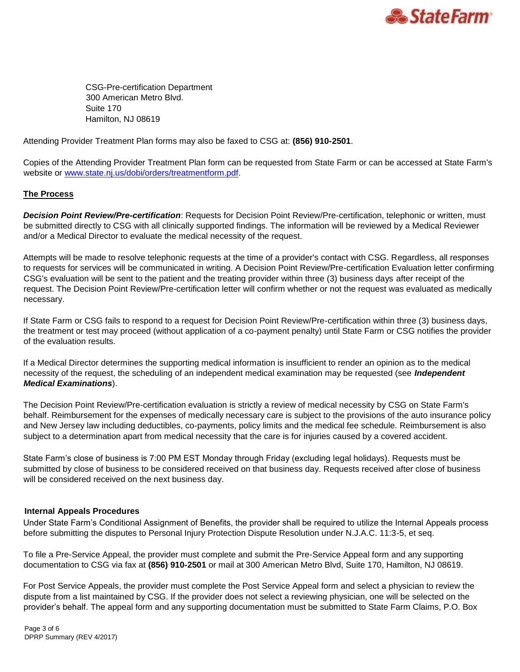

CSG-Pre-certification Department 300 American Metro Blvd. Suite 170 Hamilton, NJ 08619

Attending Provider Treatment Plan forms may also be faxed to CSG at: **(856) 910-2501**.

Copies of the Attending Provider Treatment Plan form can be requested from State Farm or can be accessed at State Farm's website or [www.state.nj.us/dobi/orders/treatmentform.pdf.](http://www.state.nj.us/dobi/orders/treatmentform.pdf)

# **The Process**

*Decision Point Review/Pre-certification*: Requests for Decision Point Review/Pre-certification, telephonic or written, must be submitted directly to CSG with all clinically supported findings. The information will be reviewed by a Medical Reviewer and/or a Medical Director to evaluate the medical necessity of the request.

Attempts will be made to resolve telephonic requests at the time of a provider's contact with CSG. Regardless, all responses to requests for services will be communicated in writing. A Decision Point Review/Pre-certification Evaluation letter confirming CSG's evaluation will be sent to the patient and the treating provider within three (3) business days after receipt of the request. The Decision Point Review/Pre-certification letter will confirm whether or not the request was evaluated as medically necessary.

If State Farm or CSG fails to respond to a request for Decision Point Review/Pre-certification within three (3) business days, the treatment or test may proceed (without application of a co-payment penalty) until State Farm or CSG notifies the provider of the evaluation results.

If a Medical Director determines the supporting medical information is insufficient to render an opinion as to the medical necessity of the request, the scheduling of an independent medical examination may be requested (see *Independent Medical Examinations*).

The Decision Point Review/Pre-certification evaluation is strictly a review of medical necessity by CSG on State Farm's behalf. Reimbursement for the expenses of medically necessary care is subject to the provisions of the auto insurance policy and New Jersey law including deductibles, co-payments, policy limits and the medical fee schedule. Reimbursement is also subject to a determination apart from medical necessity that the care is for injuries caused by a covered accident.

State Farm's close of business is 7:00 PM EST Monday through Friday (excluding legal holidays). Requests must be submitted by close of business to be considered received on that business day. Requests received after close of business will be considered received on the next business day.

#### **Internal Appeals Procedures**

Under State Farm's Conditional Assignment of Benefits, the provider shall be required to utilize the Internal Appeals process before submitting the disputes to Personal Injury Protection Dispute Resolution under N.J.A.C. 11:3-5, et seq.

To file a Pre-Service Appeal, the provider must complete and submit the Pre-Service Appeal form and any supporting documentation to CSG via fax at **(856) 910-2501** or mail at 300 American Metro Blvd, Suite 170, Hamilton, NJ 08619.

For Post Service Appeals, the provider must complete the Post Service Appeal form and select a physician to review the dispute from a list maintained by CSG. If the provider does not select a reviewing physician, one will be selected on the provider's behalf. The appeal form and any supporting documentation must be submitted to State Farm Claims, P.O. Box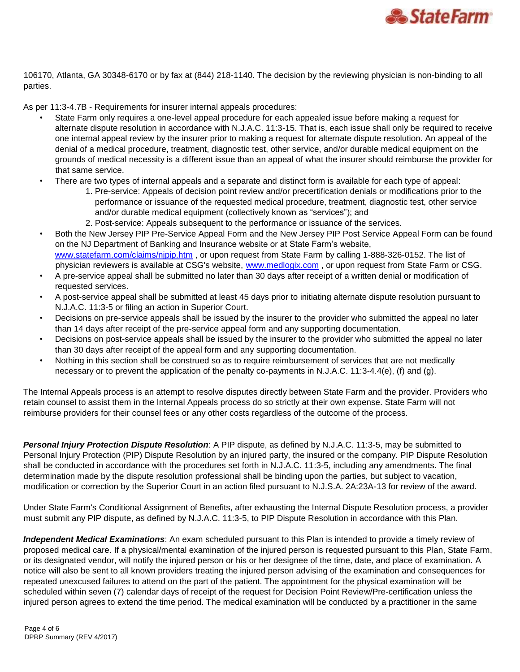

106170, Atlanta, GA 30348-6170 or by fax at (844) 218-1140. The decision by the reviewing physician is non-binding to all parties.

As per 11:3-4.7B - Requirements for insurer internal appeals procedures:

- State Farm only requires a one-level appeal procedure for each appealed issue before making a request for alternate dispute resolution in accordance with N.J.A.C. 11:3-15. That is, each issue shall only be required to receive one internal appeal review by the insurer prior to making a request for alternate dispute resolution. An appeal of the denial of a medical procedure, treatment, diagnostic test, other service, and/or durable medical equipment on the grounds of medical necessity is a different issue than an appeal of what the insurer should reimburse the provider for that same service.
- There are two types of internal appeals and a separate and distinct form is available for each type of appeal:
	- 1. Pre-service: Appeals of decision point review and/or precertification denials or modifications prior to the performance or issuance of the requested medical procedure, treatment, diagnostic test, other service and/or durable medical equipment (collectively known as "services"); and
	- 2. Post-service: Appeals subsequent to the performance or issuance of the services.
- Both the New Jersey PIP Pre-Service Appeal Form and the New Jersey PIP Post Service Appeal Form can be found on the NJ Department of Banking and Insurance website or at State Farm's website, [www.statefarm.com/claims/njpip.htm](http://www.statefarm.com/claims/njpip.htm) [,](http://www.statefarm.com/claims/njpip.htm) or upon request from State Farm by calling 1-888-326-0152. The list of physician reviewers is available at CSG's website, [www.medlogix.com](http://www.medlogix.com/) [,](http://www.medlogix.com/) or upon request from State Farm or CSG.
- A pre-service appeal shall be submitted no later than 30 days after receipt of a written denial or modification of requested services.
- A post-service appeal shall be submitted at least 45 days prior to initiating alternate dispute resolution pursuant to N.J.A.C. 11:3-5 or filing an action in Superior Court.
- Decisions on pre-service appeals shall be issued by the insurer to the provider who submitted the appeal no later than 14 days after receipt of the pre-service appeal form and any supporting documentation.
- Decisions on post-service appeals shall be issued by the insurer to the provider who submitted the appeal no later than 30 days after receipt of the appeal form and any supporting documentation.
- Nothing in this section shall be construed so as to require reimbursement of services that are not medically necessary or to prevent the application of the penalty co-payments in N.J.A.C. 11:3-4.4(e), (f) and (g).

The Internal Appeals process is an attempt to resolve disputes directly between State Farm and the provider. Providers who retain counsel to assist them in the Internal Appeals process do so strictly at their own expense. State Farm will not reimburse providers for their counsel fees or any other costs regardless of the outcome of the process.

*Personal Injury Protection Dispute Resolution*: A PIP dispute, as defined by N.J.A.C. 11:3-5, may be submitted to Personal Injury Protection (PIP) Dispute Resolution by an injured party, the insured or the company. PIP Dispute Resolution shall be conducted in accordance with the procedures set forth in N.J.A.C. 11:3-5, including any amendments. The final determination made by the dispute resolution professional shall be binding upon the parties, but subject to vacation, modification or correction by the Superior Court in an action filed pursuant to N.J.S.A. 2A:23A-13 for review of the award.

Under State Farm's Conditional Assignment of Benefits, after exhausting the Internal Dispute Resolution process, a provider must submit any PIP dispute, as defined by N.J.A.C. 11:3-5, to PIP Dispute Resolution in accordance with this Plan.

*Independent Medical Examinations*: An exam scheduled pursuant to this Plan is intended to provide a timely review of proposed medical care. If a physical/mental examination of the injured person is requested pursuant to this Plan, State Farm, or its designated vendor, will notify the injured person or his or her designee of the time, date, and place of examination. A notice will also be sent to all known providers treating the injured person advising of the examination and consequences for repeated unexcused failures to attend on the part of the patient. The appointment for the physical examination will be scheduled within seven (7) calendar days of receipt of the request for Decision Point Review/Pre-certification unless the injured person agrees to extend the time period. The medical examination will be conducted by a practitioner in the same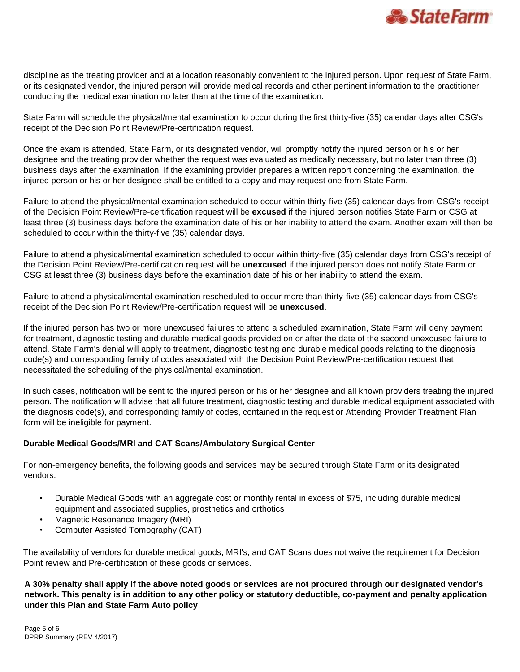

discipline as the treating provider and at a location reasonably convenient to the injured person. Upon request of State Farm, or its designated vendor, the injured person will provide medical records and other pertinent information to the practitioner conducting the medical examination no later than at the time of the examination.

State Farm will schedule the physical/mental examination to occur during the first thirty-five (35) calendar days after CSG's receipt of the Decision Point Review/Pre-certification request.

Once the exam is attended, State Farm, or its designated vendor, will promptly notify the injured person or his or her designee and the treating provider whether the request was evaluated as medically necessary, but no later than three (3) business days after the examination. If the examining provider prepares a written report concerning the examination, the injured person or his or her designee shall be entitled to a copy and may request one from State Farm.

Failure to attend the physical/mental examination scheduled to occur within thirty-five (35) calendar days from CSG's receipt of the Decision Point Review/Pre-certification request will be **excused** if the injured person notifies State Farm or CSG at least three (3) business days before the examination date of his or her inability to attend the exam. Another exam will then be scheduled to occur within the thirty-five (35) calendar days.

Failure to attend a physical/mental examination scheduled to occur within thirty-five (35) calendar days from CSG's receipt of the Decision Point Review/Pre-certification request will be **unexcused** if the injured person does not notify State Farm or CSG at least three (3) business days before the examination date of his or her inability to attend the exam.

Failure to attend a physical/mental examination rescheduled to occur more than thirty-five (35) calendar days from CSG's receipt of the Decision Point Review/Pre-certification request will be **unexcused**.

If the injured person has two or more unexcused failures to attend a scheduled examination, State Farm will deny payment for treatment, diagnostic testing and durable medical goods provided on or after the date of the second unexcused failure to attend. State Farm's denial will apply to treatment, diagnostic testing and durable medical goods relating to the diagnosis code(s) and corresponding family of codes associated with the Decision Point Review/Pre-certification request that necessitated the scheduling of the physical/mental examination.

In such cases, notification will be sent to the injured person or his or her designee and all known providers treating the injured person. The notification will advise that all future treatment, diagnostic testing and durable medical equipment associated with the diagnosis code(s), and corresponding family of codes, contained in the request or Attending Provider Treatment Plan form will be ineligible for payment.

# **Durable Medical Goods/MRI and CAT Scans/Ambulatory Surgical Center**

For non-emergency benefits, the following goods and services may be secured through State Farm or its designated vendors:

- Durable Medical Goods with an aggregate cost or monthly rental in excess of \$75, including durable medical equipment and associated supplies, prosthetics and orthotics
- Magnetic Resonance Imagery (MRI)
- Computer Assisted Tomography (CAT)

The availability of vendors for durable medical goods, MRI's, and CAT Scans does not waive the requirement for Decision Point review and Pre-certification of these goods or services.

**A 30% penalty shall apply if the above noted goods or services are not procured through our designated vendor's network. This penalty is in addition to any other policy or statutory deductible, co-payment and penalty application under this Plan and State Farm Auto policy**.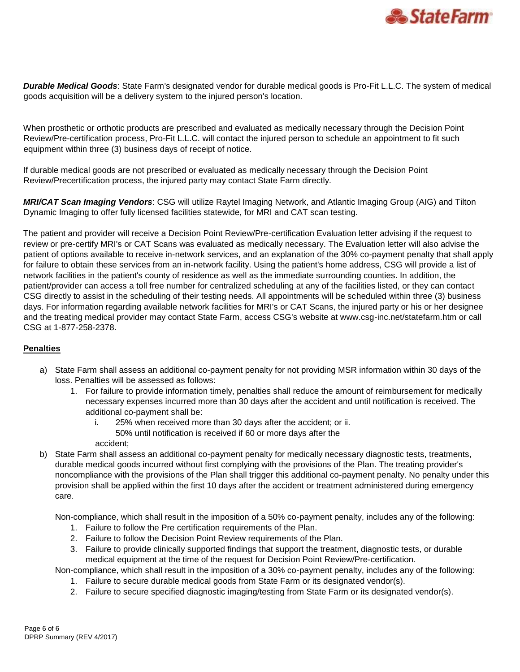

*Durable Medical Goods*: State Farm's designated vendor for durable medical goods is Pro-Fit L.L.C. The system of medical goods acquisition will be a delivery system to the injured person's location.

When prosthetic or orthotic products are prescribed and evaluated as medically necessary through the Decision Point Review/Pre-certification process, Pro-Fit L.L.C. will contact the injured person to schedule an appointment to fit such equipment within three (3) business days of receipt of notice.

If durable medical goods are not prescribed or evaluated as medically necessary through the Decision Point Review/Precertification process, the injured party may contact State Farm directly.

*MRI/CAT Scan Imaging Vendors*: CSG will utilize Raytel Imaging Network, and Atlantic Imaging Group (AIG) and Tilton Dynamic Imaging to offer fully licensed facilities statewide, for MRI and CAT scan testing.

The patient and provider will receive a Decision Point Review/Pre-certification Evaluation letter advising if the request to review or pre-certify MRI's or CAT Scans was evaluated as medically necessary. The Evaluation letter will also advise the patient of options available to receive in-network services, and an explanation of the 30% co-payment penalty that shall apply for failure to obtain these services from an in-network facility. Using the patient's home address, CSG will provide a list of network facilities in the patient's county of residence as well as the immediate surrounding counties. In addition, the patient/provider can access a toll free number for centralized scheduling at any of the facilities listed, or they can contact CSG directly to assist in the scheduling of their testing needs. All appointments will be scheduled within three (3) business days. For information regarding available network facilities for MRI's or CAT Scans, the injured party or his or her designee and the treating medical provider may contact State Farm, access CSG's website at www.csg-inc.net/statefarm.htm or call CSG at 1-877-258-2378.

# **Penalties**

- a) State Farm shall assess an additional co-payment penalty for not providing MSR information within 30 days of the loss. Penalties will be assessed as follows:
	- 1. For failure to provide information timely, penalties shall reduce the amount of reimbursement for medically necessary expenses incurred more than 30 days after the accident and until notification is received. The additional co-payment shall be:
		- i. 25% when received more than 30 days after the accident; or ii. 50% until notification is received if 60 or more days after the
		- accident;
- b) State Farm shall assess an additional co-payment penalty for medically necessary diagnostic tests, treatments, durable medical goods incurred without first complying with the provisions of the Plan. The treating provider's noncompliance with the provisions of the Plan shall trigger this additional co-payment penalty. No penalty under this provision shall be applied within the first 10 days after the accident or treatment administered during emergency care.

Non-compliance, which shall result in the imposition of a 50% co-payment penalty, includes any of the following:

- 1. Failure to follow the Pre certification requirements of the Plan.
- 2. Failure to follow the Decision Point Review requirements of the Plan.
- 3. Failure to provide clinically supported findings that support the treatment, diagnostic tests, or durable medical equipment at the time of the request for Decision Point Review/Pre-certification.

Non-compliance, which shall result in the imposition of a 30% co-payment penalty, includes any of the following:

- 1. Failure to secure durable medical goods from State Farm or its designated vendor(s).
- 2. Failure to secure specified diagnostic imaging/testing from State Farm or its designated vendor(s).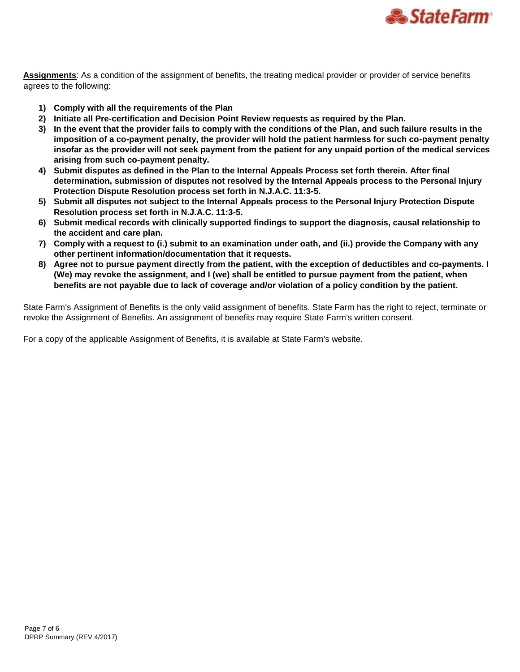

**Assignments**: As a condition of the assignment of benefits, the treating medical provider or provider of service benefits agrees to the following:

- **1) Comply with all the requirements of the Plan**
- **2) Initiate all Pre-certification and Decision Point Review requests as required by the Plan.**
- **3) In the event that the provider fails to comply with the conditions of the Plan, and such failure results in the imposition of a co-payment penalty, the provider will hold the patient harmless for such co-payment penalty insofar as the provider will not seek payment from the patient for any unpaid portion of the medical services arising from such co-payment penalty.**
- **4) Submit disputes as defined in the Plan to the Internal Appeals Process set forth therein. After final determination, submission of disputes not resolved by the Internal Appeals process to the Personal Injury Protection Dispute Resolution process set forth in N.J.A.C. 11:3-5.**
- **5) Submit all disputes not subject to the Internal Appeals process to the Personal Injury Protection Dispute Resolution process set forth in N.J.A.C. 11:3-5.**
- **6) Submit medical records with clinically supported findings to support the diagnosis, causal relationship to the accident and care plan.**
- **7) Comply with a request to (i.) submit to an examination under oath, and (ii.) provide the Company with any other pertinent information/documentation that it requests.**
- **8) Agree not to pursue payment directly from the patient, with the exception of deductibles and co-payments. I (We) may revoke the assignment, and I (we) shall be entitled to pursue payment from the patient, when benefits are not payable due to lack of coverage and/or violation of a policy condition by the patient.**

State Farm's Assignment of Benefits is the only valid assignment of benefits. State Farm has the right to reject, terminate or revoke the Assignment of Benefits. An assignment of benefits may require State Farm's written consent.

For a copy of the applicable Assignment of Benefits, it is available at State Farm's website.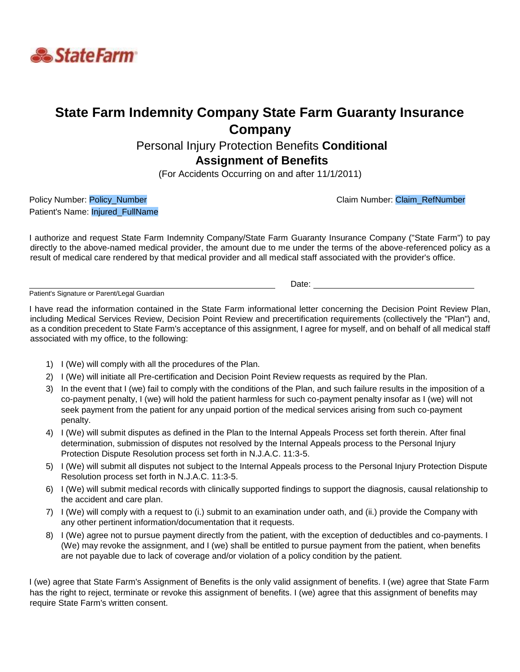

# **State Farm Indemnity Company State Farm Guaranty Insurance Company**

# Personal Injury Protection Benefits **Conditional Assignment of Benefits**

(For Accidents Occurring on and after 11/1/2011)

Policy Number: Policy\_Number Claim Number: Claim Number: Claim Number: Claim Number: Claim Number Patient's Name: Injured\_FullName

I authorize and request State Farm Indemnity Company/State Farm Guaranty Insurance Company ("State Farm") to pay directly to the above-named medical provider, the amount due to me under the terms of the above-referenced policy as a result of medical care rendered by that medical provider and all medical staff associated with the provider's office.

Patient's Signature or Parent/Legal Guardian

I have read the information contained in the State Farm informational letter concerning the Decision Point Review Plan, including Medical Services Review, Decision Point Review and precertification requirements (collectively the "Plan") and, as a condition precedent to State Farm's acceptance of this assignment, I agree for myself, and on behalf of all medical staff associated with my office, to the following:

1) I (We) will comply with all the procedures of the Plan.

<u>Date: Experience and the contract of the contract of the contract of the contract of the contract of the contract of the contract of the contract of the contract of the contract of the contract of the contract of the cont</u>

- 2) I (We) will initiate all Pre-certification and Decision Point Review requests as required by the Plan.
- 3) In the event that I (we) fail to comply with the conditions of the Plan, and such failure results in the imposition of a co-payment penalty, I (we) will hold the patient harmless for such co-payment penalty insofar as I (we) will not seek payment from the patient for any unpaid portion of the medical services arising from such co-payment penalty.
- 4) I (We) will submit disputes as defined in the Plan to the Internal Appeals Process set forth therein. After final determination, submission of disputes not resolved by the Internal Appeals process to the Personal Injury Protection Dispute Resolution process set forth in N.J.A.C. 11:3-5.
- 5) I (We) will submit all disputes not subject to the Internal Appeals process to the Personal Injury Protection Dispute Resolution process set forth in N.J.A.C. 11:3-5.
- 6) I (We) will submit medical records with clinically supported findings to support the diagnosis, causal relationship to the accident and care plan.
- 7) I (We) will comply with a request to (i.) submit to an examination under oath, and (ii.) provide the Company with any other pertinent information/documentation that it requests.
- 8) I (We) agree not to pursue payment directly from the patient, with the exception of deductibles and co-payments. I (We) may revoke the assignment, and I (we) shall be entitled to pursue payment from the patient, when benefits are not payable due to lack of coverage and/or violation of a policy condition by the patient.

I (we) agree that State Farm's Assignment of Benefits is the only valid assignment of benefits. I (we) agree that State Farm has the right to reject, terminate or revoke this assignment of benefits. I (we) agree that this assignment of benefits may require State Farm's written consent.